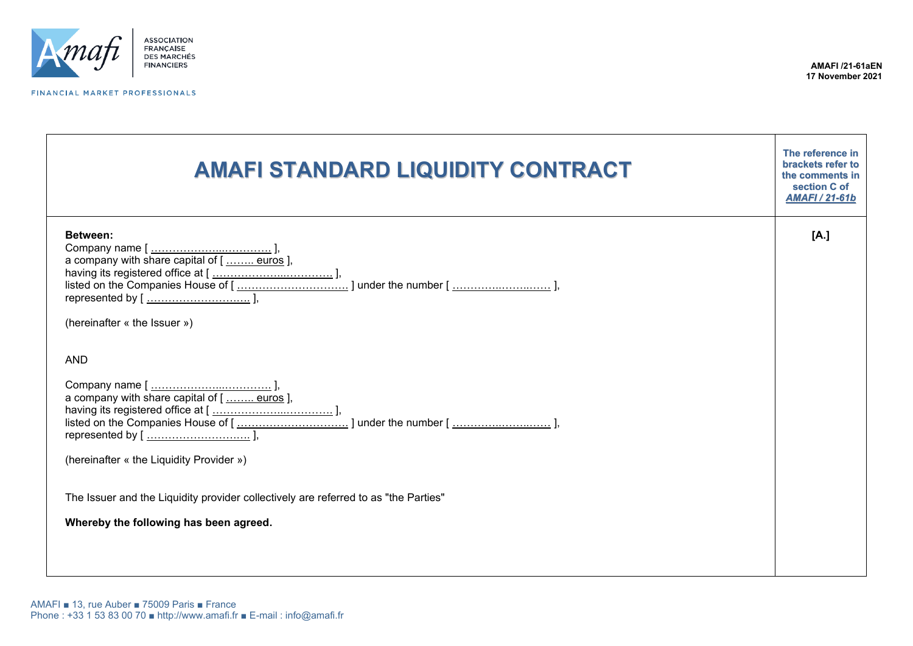

FINANCIAL MARKET PROFESSIONALS

| <b>AMAFI STANDARD LIQUIDITY CONTRACT</b>                                                                                                                                                | The reference in<br>brackets refer to<br>the comments in<br>section C of<br><b>AMAFI / 21-61b</b> |
|-----------------------------------------------------------------------------------------------------------------------------------------------------------------------------------------|---------------------------------------------------------------------------------------------------|
| Between:<br>(hereinafter « the Issuer »)                                                                                                                                                | [A.]                                                                                              |
| <b>AND</b><br>(hereinafter « the Liquidity Provider »)<br>The Issuer and the Liquidity provider collectively are referred to as "the Parties"<br>Whereby the following has been agreed. |                                                                                                   |
|                                                                                                                                                                                         |                                                                                                   |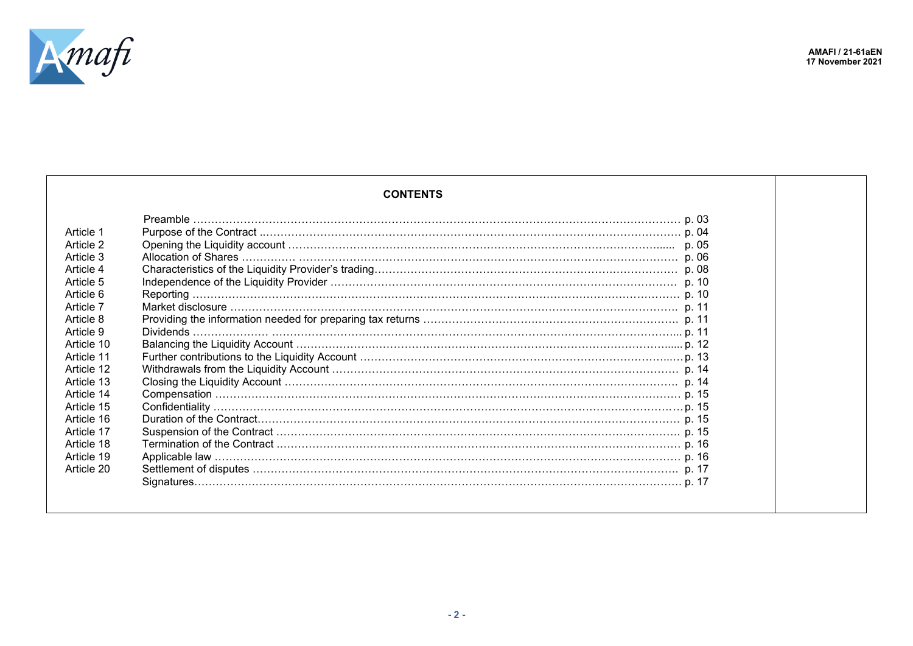

## **CONTENTS**

| Article 1  |  |
|------------|--|
| Article 2  |  |
| Article 3  |  |
| Article 4  |  |
| Article 5  |  |
| Article 6  |  |
| Article 7  |  |
| Article 8  |  |
| Article 9  |  |
| Article 10 |  |
| Article 11 |  |
| Article 12 |  |
| Article 13 |  |
| Article 14 |  |
| Article 15 |  |
| Article 16 |  |
| Article 17 |  |
| Article 18 |  |
| Article 19 |  |
| Article 20 |  |
|            |  |
|            |  |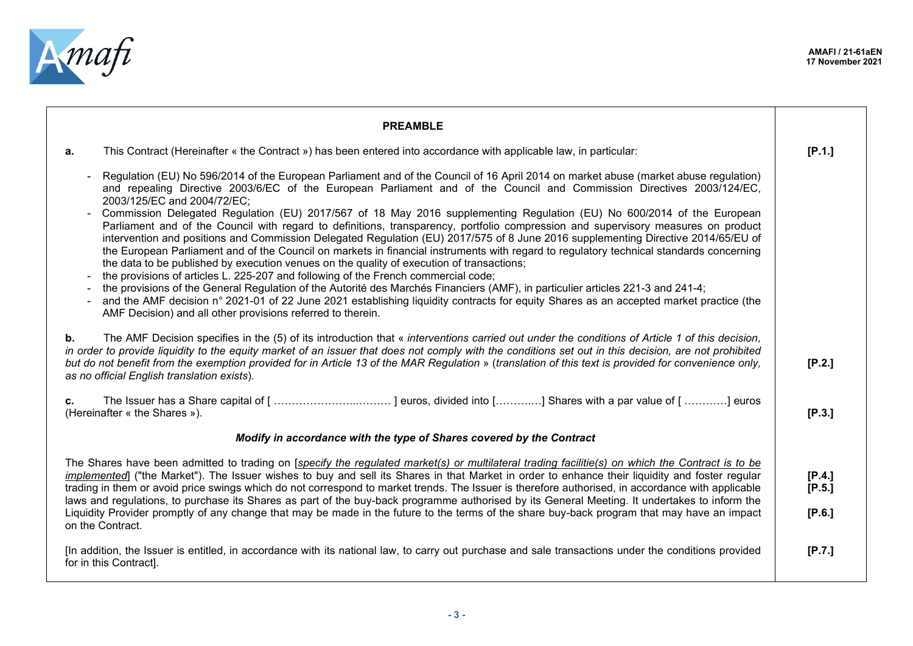

| <b>PREAMBLE</b>                                                                                                                                                                                                                                                                                                                                                                                                                                                                                                                                                                                                                                                                                                                                                                                                                                                                                                                                                                                                                                                                                                                                                                                                                                                                                                                                                             |                            |
|-----------------------------------------------------------------------------------------------------------------------------------------------------------------------------------------------------------------------------------------------------------------------------------------------------------------------------------------------------------------------------------------------------------------------------------------------------------------------------------------------------------------------------------------------------------------------------------------------------------------------------------------------------------------------------------------------------------------------------------------------------------------------------------------------------------------------------------------------------------------------------------------------------------------------------------------------------------------------------------------------------------------------------------------------------------------------------------------------------------------------------------------------------------------------------------------------------------------------------------------------------------------------------------------------------------------------------------------------------------------------------|----------------------------|
| This Contract (Hereinafter « the Contract ») has been entered into accordance with applicable law, in particular:<br>а.                                                                                                                                                                                                                                                                                                                                                                                                                                                                                                                                                                                                                                                                                                                                                                                                                                                                                                                                                                                                                                                                                                                                                                                                                                                     | [P.1.]                     |
| Regulation (EU) No 596/2014 of the European Parliament and of the Council of 16 April 2014 on market abuse (market abuse regulation)<br>and repealing Directive 2003/6/EC of the European Parliament and of the Council and Commission Directives 2003/124/EC,<br>2003/125/EC and 2004/72/EC;<br>Commission Delegated Regulation (EU) 2017/567 of 18 May 2016 supplementing Regulation (EU) No 600/2014 of the European<br>Parliament and of the Council with regard to definitions, transparency, portfolio compression and supervisory measures on product<br>intervention and positions and Commission Delegated Regulation (EU) 2017/575 of 8 June 2016 supplementing Directive 2014/65/EU of<br>the European Parliament and of the Council on markets in financial instruments with regard to regulatory technical standards concerning<br>the data to be published by execution venues on the quality of execution of transactions;<br>the provisions of articles L. 225-207 and following of the French commercial code;<br>the provisions of the General Regulation of the Autorité des Marchés Financiers (AMF), in particulier articles 221-3 and 241-4;<br>and the AMF decision n° 2021-01 of 22 June 2021 establishing liquidity contracts for equity Shares as an accepted market practice (the<br>AMF Decision) and all other provisions referred to therein. |                            |
| The AMF Decision specifies in the (5) of its introduction that « interventions carried out under the conditions of Article 1 of this decision,<br>b.<br>in order to provide liquidity to the equity market of an issuer that does not comply with the conditions set out in this decision, are not prohibited<br>but do not benefit from the exemption provided for in Article 13 of the MAR Regulation » (translation of this text is provided for convenience only,<br>as no official English translation exists).                                                                                                                                                                                                                                                                                                                                                                                                                                                                                                                                                                                                                                                                                                                                                                                                                                                        | [P.2.]                     |
| c.<br>(Hereinafter « the Shares »).                                                                                                                                                                                                                                                                                                                                                                                                                                                                                                                                                                                                                                                                                                                                                                                                                                                                                                                                                                                                                                                                                                                                                                                                                                                                                                                                         | [P.3.]                     |
| Modify in accordance with the type of Shares covered by the Contract                                                                                                                                                                                                                                                                                                                                                                                                                                                                                                                                                                                                                                                                                                                                                                                                                                                                                                                                                                                                                                                                                                                                                                                                                                                                                                        |                            |
| The Shares have been admitted to trading on [specify the regulated market(s) or multilateral trading facilitie(s) on which the Contract is to be<br>implemented] ("the Market"). The Issuer wishes to buy and sell its Shares in that Market in order to enhance their liquidity and foster regular<br>trading in them or avoid price swings which do not correspond to market trends. The Issuer is therefore authorised, in accordance with applicable<br>laws and regulations, to purchase its Shares as part of the buy-back programme authorised by its General Meeting. It undertakes to inform the<br>Liquidity Provider promptly of any change that may be made in the future to the terms of the share buy-back program that may have an impact<br>on the Contract.                                                                                                                                                                                                                                                                                                                                                                                                                                                                                                                                                                                                | [P.4.]<br>[P.5.]<br>[P.6.] |
| [In addition, the Issuer is entitled, in accordance with its national law, to carry out purchase and sale transactions under the conditions provided<br>for in this Contract].                                                                                                                                                                                                                                                                                                                                                                                                                                                                                                                                                                                                                                                                                                                                                                                                                                                                                                                                                                                                                                                                                                                                                                                              | [P.7.]                     |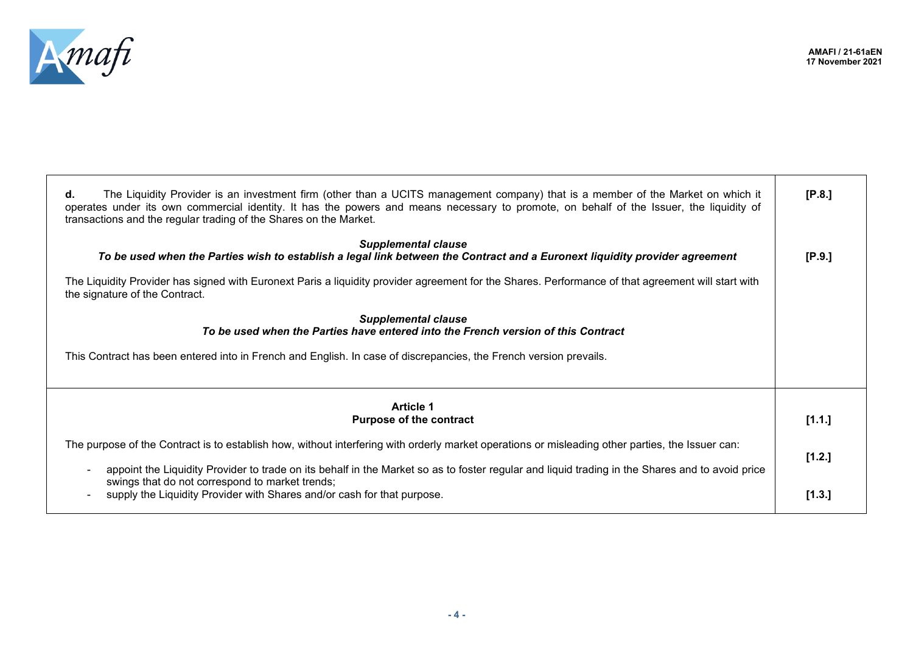

┯

| The Liquidity Provider is an investment firm (other than a UCITS management company) that is a member of the Market on which it<br>d.<br>operates under its own commercial identity. It has the powers and means necessary to promote, on behalf of the Issuer, the liquidity of<br>transactions and the regular trading of the Shares on the Market. | [P.8.] |
|-------------------------------------------------------------------------------------------------------------------------------------------------------------------------------------------------------------------------------------------------------------------------------------------------------------------------------------------------------|--------|
| <b>Supplemental clause</b><br>To be used when the Parties wish to establish a legal link between the Contract and a Euronext liquidity provider agreement<br>The Liquidity Provider has signed with Euronext Paris a liquidity provider agreement for the Shares. Performance of that agreement will start with<br>the signature of the Contract.     | [P.9.] |
| <b>Supplemental clause</b><br>To be used when the Parties have entered into the French version of this Contract<br>This Contract has been entered into in French and English. In case of discrepancies, the French version prevails.                                                                                                                  |        |
| <b>Article 1</b><br><b>Purpose of the contract</b>                                                                                                                                                                                                                                                                                                    | [1.1.] |
| The purpose of the Contract is to establish how, without interfering with orderly market operations or misleading other parties, the Issuer can:                                                                                                                                                                                                      | [1.2.] |
| appoint the Liquidity Provider to trade on its behalf in the Market so as to foster regular and liquid trading in the Shares and to avoid price<br>swings that do not correspond to market trends;<br>supply the Liquidity Provider with Shares and/or cash for that purpose.                                                                         | [1.3.] |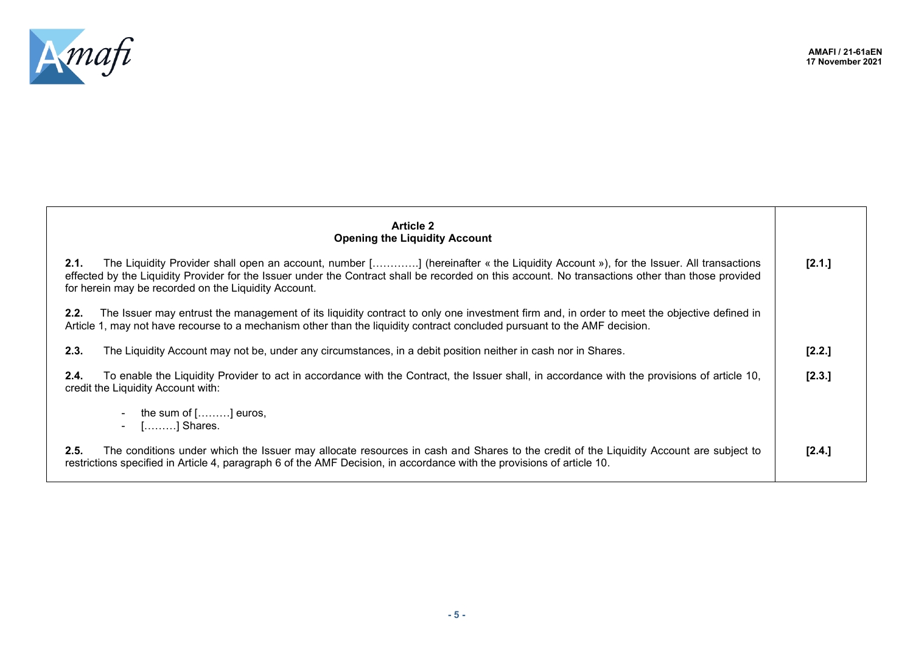

| <b>Article 2</b><br><b>Opening the Liquidity Account</b>                                                                                                                                                                                                                                                                                               |          |
|--------------------------------------------------------------------------------------------------------------------------------------------------------------------------------------------------------------------------------------------------------------------------------------------------------------------------------------------------------|----------|
| 2.1.<br>The Liquidity Provider shall open an account, number [] (hereinafter « the Liquidity Account »), for the Issuer. All transactions<br>effected by the Liquidity Provider for the Issuer under the Contract shall be recorded on this account. No transactions other than those provided<br>for herein may be recorded on the Liquidity Account. | [2.1.]   |
| The Issuer may entrust the management of its liquidity contract to only one investment firm and, in order to meet the objective defined in<br>2.2.<br>Article 1, may not have recourse to a mechanism other than the liquidity contract concluded pursuant to the AMF decision.                                                                        |          |
| The Liquidity Account may not be, under any circumstances, in a debit position neither in cash nor in Shares.<br>2.3.                                                                                                                                                                                                                                  | $[2.2.]$ |
| To enable the Liquidity Provider to act in accordance with the Contract, the Issuer shall, in accordance with the provisions of article 10,<br>2.4.<br>credit the Liquidity Account with:                                                                                                                                                              | [2.3.]   |
| the sum of [………] euros,<br>- [] Shares.                                                                                                                                                                                                                                                                                                                |          |
| 2.5.<br>The conditions under which the Issuer may allocate resources in cash and Shares to the credit of the Liquidity Account are subject to<br>restrictions specified in Article 4, paragraph 6 of the AMF Decision, in accordance with the provisions of article 10.                                                                                | [2.4.]   |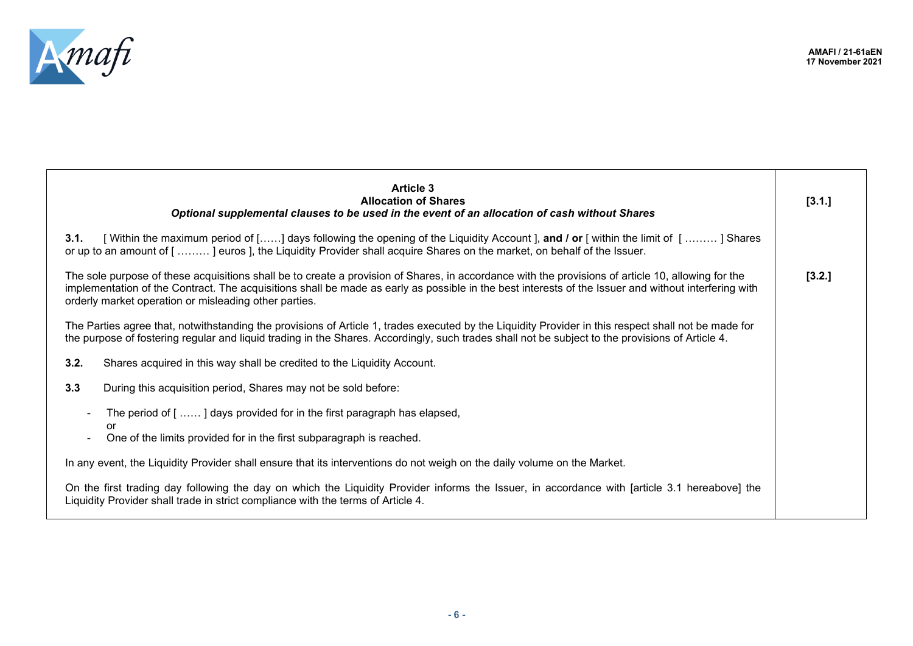

| <b>Article 3</b><br><b>Allocation of Shares</b><br>Optional supplemental clauses to be used in the event of an allocation of cash without Shares                                                                                                                                                                                                                    | [3.1.] |
|---------------------------------------------------------------------------------------------------------------------------------------------------------------------------------------------------------------------------------------------------------------------------------------------------------------------------------------------------------------------|--------|
| [Within the maximum period of [] days following the opening of the Liquidity Account ], and / or [within the limit of [] Shares<br>3.1.<br>or up to an amount of [] euros ], the Liquidity Provider shall acquire Shares on the market, on behalf of the Issuer.                                                                                                    |        |
| The sole purpose of these acquisitions shall be to create a provision of Shares, in accordance with the provisions of article 10, allowing for the<br>implementation of the Contract. The acquisitions shall be made as early as possible in the best interests of the Issuer and without interfering with<br>orderly market operation or misleading other parties. | [3.2.] |
| The Parties agree that, notwithstanding the provisions of Article 1, trades executed by the Liquidity Provider in this respect shall not be made for<br>the purpose of fostering regular and liquid trading in the Shares. Accordingly, such trades shall not be subject to the provisions of Article 4.                                                            |        |
| 3.2.<br>Shares acquired in this way shall be credited to the Liquidity Account.                                                                                                                                                                                                                                                                                     |        |
| 3.3<br>During this acquisition period, Shares may not be sold before:                                                                                                                                                                                                                                                                                               |        |
| The period of [] days provided for in the first paragraph has elapsed,                                                                                                                                                                                                                                                                                              |        |
| or<br>One of the limits provided for in the first subparagraph is reached.                                                                                                                                                                                                                                                                                          |        |
| In any event, the Liquidity Provider shall ensure that its interventions do not weigh on the daily volume on the Market.                                                                                                                                                                                                                                            |        |
| On the first trading day following the day on which the Liquidity Provider informs the Issuer, in accordance with [article 3.1 hereabove] the<br>Liquidity Provider shall trade in strict compliance with the terms of Article 4.                                                                                                                                   |        |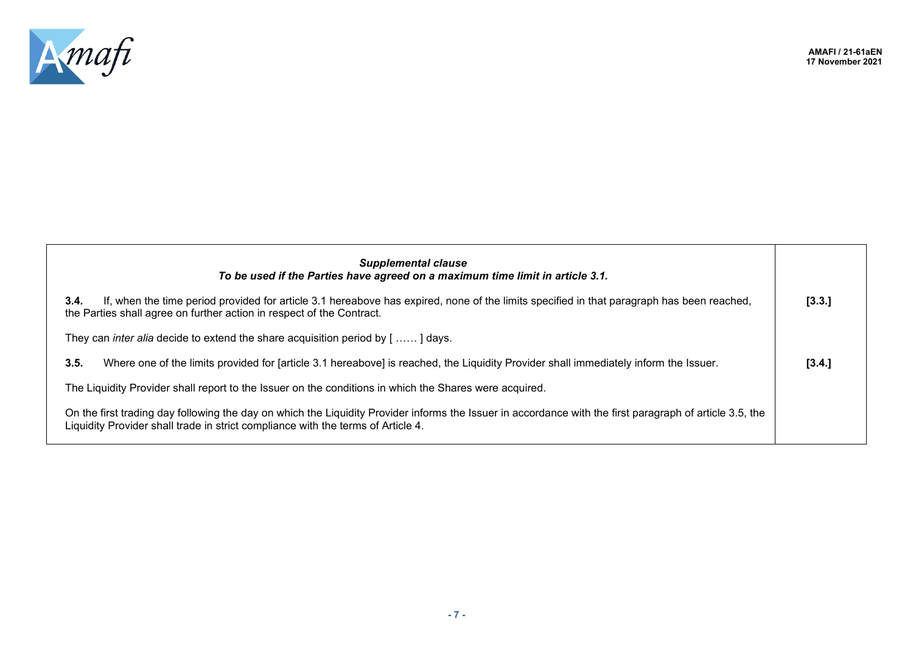

| <b>Supplemental clause</b><br>To be used if the Parties have agreed on a maximum time limit in article 3.1.                                                                                                                                  |        |
|----------------------------------------------------------------------------------------------------------------------------------------------------------------------------------------------------------------------------------------------|--------|
| If, when the time period provided for article 3.1 hereabove has expired, none of the limits specified in that paragraph has been reached,<br>3.4.<br>the Parties shall agree on further action in respect of the Contract.                   | [3.3.] |
| They can <i>inter alia</i> decide to extend the share acquisition period by $[$ ] days.                                                                                                                                                      |        |
| Where one of the limits provided for [article 3.1 hereabove] is reached, the Liquidity Provider shall immediately inform the Issuer.<br>3.5.                                                                                                 | [3.4.] |
| The Liquidity Provider shall report to the Issuer on the conditions in which the Shares were acquired.                                                                                                                                       |        |
| On the first trading day following the day on which the Liquidity Provider informs the Issuer in accordance with the first paragraph of article 3.5, the<br>Liquidity Provider shall trade in strict compliance with the terms of Article 4. |        |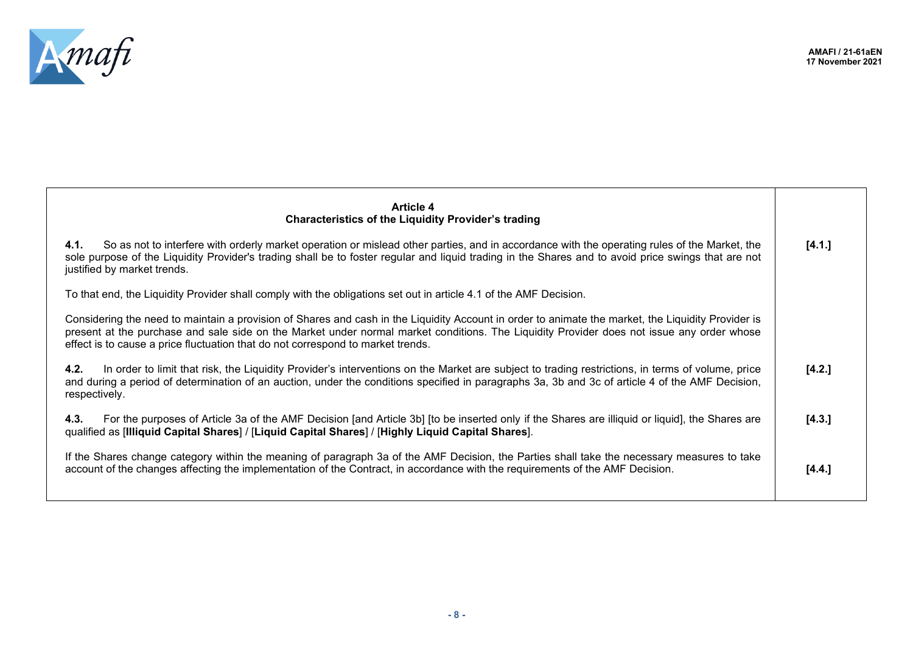



| <b>Article 4</b><br><b>Characteristics of the Liquidity Provider's trading</b>                                                                                                                                                                                                                                                                                                     |        |
|------------------------------------------------------------------------------------------------------------------------------------------------------------------------------------------------------------------------------------------------------------------------------------------------------------------------------------------------------------------------------------|--------|
| So as not to interfere with orderly market operation or mislead other parties, and in accordance with the operating rules of the Market, the<br>4.1.<br>sole purpose of the Liquidity Provider's trading shall be to foster regular and liquid trading in the Shares and to avoid price swings that are not<br>justified by market trends.                                         | [4.1.] |
| To that end, the Liquidity Provider shall comply with the obligations set out in article 4.1 of the AMF Decision.                                                                                                                                                                                                                                                                  |        |
| Considering the need to maintain a provision of Shares and cash in the Liquidity Account in order to animate the market, the Liquidity Provider is<br>present at the purchase and sale side on the Market under normal market conditions. The Liquidity Provider does not issue any order whose<br>effect is to cause a price fluctuation that do not correspond to market trends. |        |
| In order to limit that risk, the Liquidity Provider's interventions on the Market are subject to trading restrictions, in terms of volume, price<br>4.2.<br>and during a period of determination of an auction, under the conditions specified in paragraphs 3a, 3b and 3c of article 4 of the AMF Decision,<br>respectively.                                                      | [4.2.] |
| For the purposes of Article 3a of the AMF Decision [and Article 3b] [to be inserted only if the Shares are illiquid or liquid], the Shares are<br>4.3.<br>qualified as [Illiquid Capital Shares] / [Liquid Capital Shares] / [Highly Liquid Capital Shares].                                                                                                                       | [4.3.] |
| If the Shares change category within the meaning of paragraph 3a of the AMF Decision, the Parties shall take the necessary measures to take<br>account of the changes affecting the implementation of the Contract, in accordance with the requirements of the AMF Decision.                                                                                                       | [4.4.] |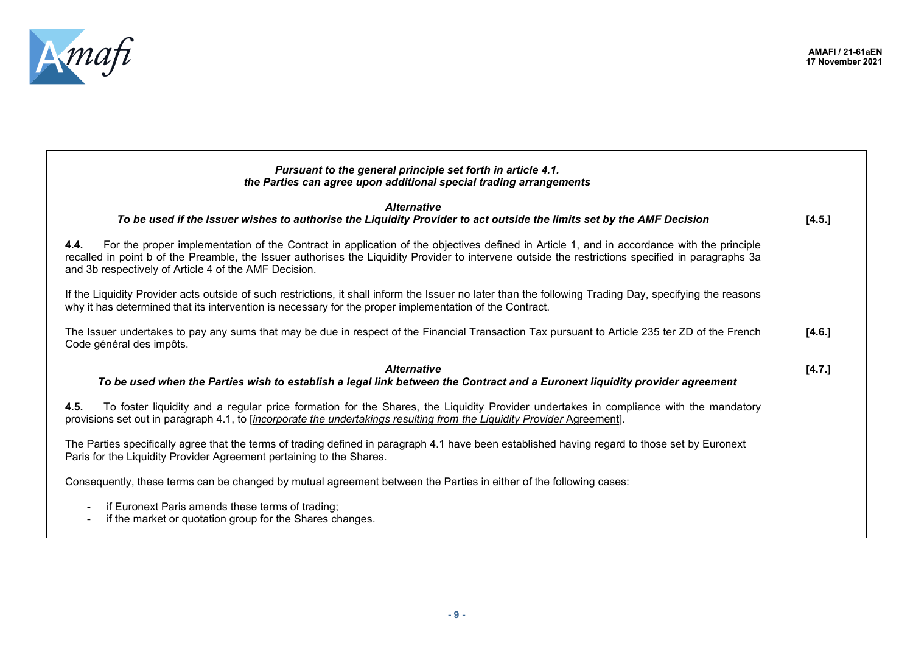

| the Parties can agree upon additional special trading arrangements                                                                                                                                                                                                                                                                                               |        |
|------------------------------------------------------------------------------------------------------------------------------------------------------------------------------------------------------------------------------------------------------------------------------------------------------------------------------------------------------------------|--------|
| <b>Alternative</b><br>To be used if the Issuer wishes to authorise the Liquidity Provider to act outside the limits set by the AMF Decision                                                                                                                                                                                                                      | [4.5.] |
| For the proper implementation of the Contract in application of the objectives defined in Article 1, and in accordance with the principle<br>4.4.<br>recalled in point b of the Preamble, the Issuer authorises the Liquidity Provider to intervene outside the restrictions specified in paragraphs 3a<br>and 3b respectively of Article 4 of the AMF Decision. |        |
| If the Liquidity Provider acts outside of such restrictions, it shall inform the Issuer no later than the following Trading Day, specifying the reasons<br>why it has determined that its intervention is necessary for the proper implementation of the Contract.                                                                                               |        |
| The Issuer undertakes to pay any sums that may be due in respect of the Financial Transaction Tax pursuant to Article 235 ter ZD of the French<br>Code général des impôts.                                                                                                                                                                                       | [4.6.] |
| <b>Alternative</b><br>To be used when the Parties wish to establish a legal link between the Contract and a Euronext liquidity provider agreement                                                                                                                                                                                                                | [4.7.] |
| To foster liquidity and a regular price formation for the Shares, the Liquidity Provider undertakes in compliance with the mandatory<br>4.5.<br>provisions set out in paragraph 4.1, to [incorporate the undertakings resulting from the Liquidity Provider Agreement].                                                                                          |        |
| The Parties specifically agree that the terms of trading defined in paragraph 4.1 have been established having regard to those set by Euronext<br>Paris for the Liquidity Provider Agreement pertaining to the Shares.                                                                                                                                           |        |
| Consequently, these terms can be changed by mutual agreement between the Parties in either of the following cases:                                                                                                                                                                                                                                               |        |
| if Euronext Paris amends these terms of trading;<br>if the market or quotation group for the Shares changes.<br>$\sim$                                                                                                                                                                                                                                           |        |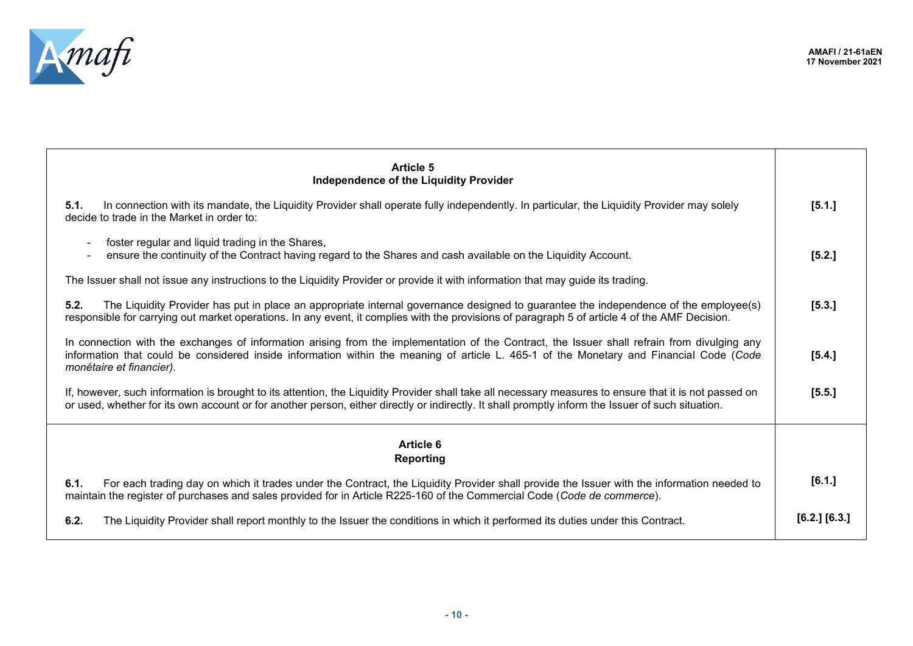

| <b>Article 5</b><br>Independence of the Liquidity Provider                                                                                                                                                                                                                                                          |                   |
|---------------------------------------------------------------------------------------------------------------------------------------------------------------------------------------------------------------------------------------------------------------------------------------------------------------------|-------------------|
| In connection with its mandate, the Liquidity Provider shall operate fully independently. In particular, the Liquidity Provider may solely<br>5.1.<br>decide to trade in the Market in order to:                                                                                                                    | [5.1.]            |
| foster regular and liquid trading in the Shares,<br>ensure the continuity of the Contract having regard to the Shares and cash available on the Liquidity Account.                                                                                                                                                  | [5.2.]            |
| The Issuer shall not issue any instructions to the Liquidity Provider or provide it with information that may guide its trading.                                                                                                                                                                                    |                   |
| The Liquidity Provider has put in place an appropriate internal governance designed to guarantee the independence of the employee(s)<br>5.2.<br>responsible for carrying out market operations. In any event, it complies with the provisions of paragraph 5 of article 4 of the AMF Decision.                      | [5.3.]            |
| In connection with the exchanges of information arising from the implementation of the Contract, the Issuer shall refrain from divulging any<br>information that could be considered inside information within the meaning of article L. 465-1 of the Monetary and Financial Code (Code<br>monétaire et financier). | [5.4.]            |
| If, however, such information is brought to its attention, the Liquidity Provider shall take all necessary measures to ensure that it is not passed on<br>or used, whether for its own account or for another person, either directly or indirectly. It shall promptly inform the Issuer of such situation.         | [5.5.]            |
| <b>Article 6</b><br>Reporting                                                                                                                                                                                                                                                                                       |                   |
| For each trading day on which it trades under the Contract, the Liquidity Provider shall provide the Issuer with the information needed to<br>6.1.<br>maintain the register of purchases and sales provided for in Article R225-160 of the Commercial Code (Code de commerce).                                      | [6.1.]            |
| 6.2.<br>The Liquidity Provider shall report monthly to the Issuer the conditions in which it performed its duties under this Contract.                                                                                                                                                                              | $[6.2.]$ $[6.3.]$ |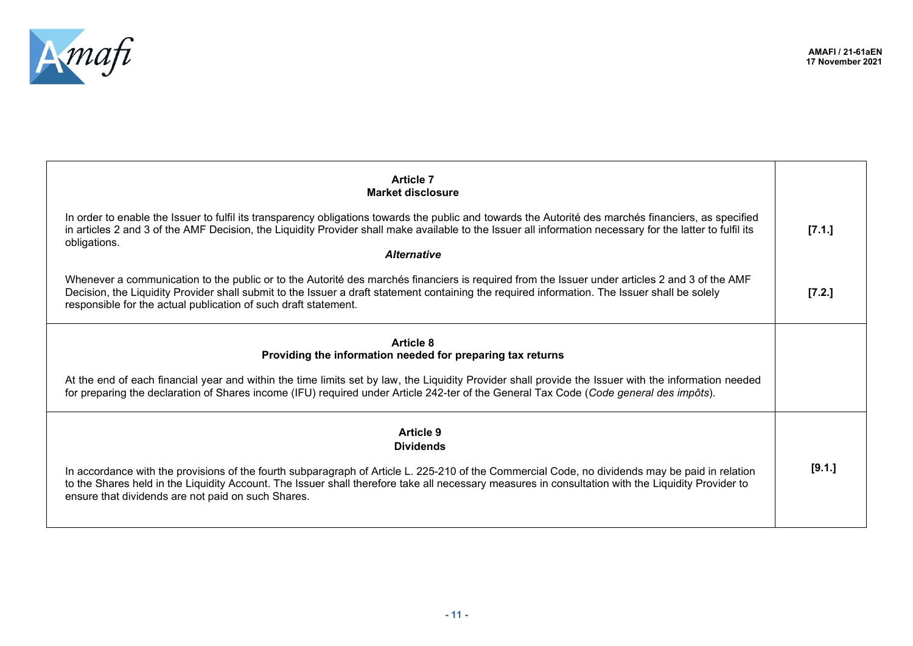

| <b>Article 7</b><br>Market disclosure                                                                                                                                                                                                                                                                                                                              |        |
|--------------------------------------------------------------------------------------------------------------------------------------------------------------------------------------------------------------------------------------------------------------------------------------------------------------------------------------------------------------------|--------|
| In order to enable the Issuer to fulfil its transparency obligations towards the public and towards the Autorité des marchés financiers, as specified<br>in articles 2 and 3 of the AMF Decision, the Liquidity Provider shall make available to the Issuer all information necessary for the latter to fulfil its                                                 | [7.1.] |
| obligations.<br><b>Alternative</b>                                                                                                                                                                                                                                                                                                                                 |        |
| Whenever a communication to the public or to the Autorité des marchés financiers is required from the Issuer under articles 2 and 3 of the AMF<br>Decision, the Liquidity Provider shall submit to the Issuer a draft statement containing the required information. The Issuer shall be solely<br>responsible for the actual publication of such draft statement. | [7.2.] |
| <b>Article 8</b><br>Providing the information needed for preparing tax returns                                                                                                                                                                                                                                                                                     |        |
| At the end of each financial year and within the time limits set by law, the Liquidity Provider shall provide the Issuer with the information needed<br>for preparing the declaration of Shares income (IFU) required under Article 242-ter of the General Tax Code (Code general des impôts).                                                                     |        |
| <b>Article 9</b><br><b>Dividends</b>                                                                                                                                                                                                                                                                                                                               |        |
| In accordance with the provisions of the fourth subparagraph of Article L. 225-210 of the Commercial Code, no dividends may be paid in relation<br>to the Shares held in the Liquidity Account. The Issuer shall therefore take all necessary measures in consultation with the Liquidity Provider to<br>ensure that dividends are not paid on such Shares.        | [9.1.] |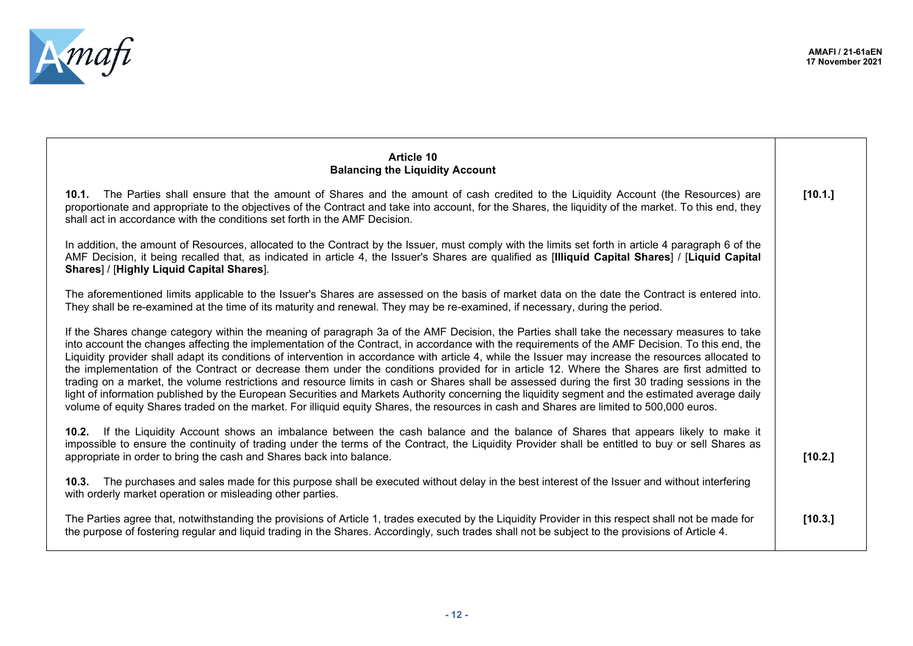

| <b>Article 10</b><br><b>Balancing the Liquidity Account</b>                                                                                                                                                                                                                                                                                                                                                                                                                                                                                                                                                                                                                                                                                                                                                                                                                                                                                                                                                                                                |         |
|------------------------------------------------------------------------------------------------------------------------------------------------------------------------------------------------------------------------------------------------------------------------------------------------------------------------------------------------------------------------------------------------------------------------------------------------------------------------------------------------------------------------------------------------------------------------------------------------------------------------------------------------------------------------------------------------------------------------------------------------------------------------------------------------------------------------------------------------------------------------------------------------------------------------------------------------------------------------------------------------------------------------------------------------------------|---------|
| 10.1. The Parties shall ensure that the amount of Shares and the amount of cash credited to the Liquidity Account (the Resources) are<br>proportionate and appropriate to the objectives of the Contract and take into account, for the Shares, the liquidity of the market. To this end, they<br>shall act in accordance with the conditions set forth in the AMF Decision.                                                                                                                                                                                                                                                                                                                                                                                                                                                                                                                                                                                                                                                                               | [10.1.] |
| In addition, the amount of Resources, allocated to the Contract by the Issuer, must comply with the limits set forth in article 4 paragraph 6 of the<br>AMF Decision, it being recalled that, as indicated in article 4, the Issuer's Shares are qualified as [Illiquid Capital Shares] / [Liquid Capital<br>Shares] / [Highly Liquid Capital Shares].                                                                                                                                                                                                                                                                                                                                                                                                                                                                                                                                                                                                                                                                                                     |         |
| The aforementioned limits applicable to the Issuer's Shares are assessed on the basis of market data on the date the Contract is entered into.<br>They shall be re-examined at the time of its maturity and renewal. They may be re-examined, if necessary, during the period.                                                                                                                                                                                                                                                                                                                                                                                                                                                                                                                                                                                                                                                                                                                                                                             |         |
| If the Shares change category within the meaning of paragraph 3a of the AMF Decision, the Parties shall take the necessary measures to take<br>into account the changes affecting the implementation of the Contract, in accordance with the requirements of the AMF Decision. To this end, the<br>Liquidity provider shall adapt its conditions of intervention in accordance with article 4, while the Issuer may increase the resources allocated to<br>the implementation of the Contract or decrease them under the conditions provided for in article 12. Where the Shares are first admitted to<br>trading on a market, the volume restrictions and resource limits in cash or Shares shall be assessed during the first 30 trading sessions in the<br>light of information published by the European Securities and Markets Authority concerning the liquidity segment and the estimated average daily<br>volume of equity Shares traded on the market. For illiquid equity Shares, the resources in cash and Shares are limited to 500,000 euros. |         |
| 10.2. If the Liquidity Account shows an imbalance between the cash balance and the balance of Shares that appears likely to make it<br>impossible to ensure the continuity of trading under the terms of the Contract, the Liquidity Provider shall be entitled to buy or sell Shares as<br>appropriate in order to bring the cash and Shares back into balance.                                                                                                                                                                                                                                                                                                                                                                                                                                                                                                                                                                                                                                                                                           | [10.2.] |
| 10.3. The purchases and sales made for this purpose shall be executed without delay in the best interest of the Issuer and without interfering<br>with orderly market operation or misleading other parties.                                                                                                                                                                                                                                                                                                                                                                                                                                                                                                                                                                                                                                                                                                                                                                                                                                               |         |
| The Parties agree that, notwithstanding the provisions of Article 1, trades executed by the Liquidity Provider in this respect shall not be made for<br>the purpose of fostering regular and liquid trading in the Shares. Accordingly, such trades shall not be subject to the provisions of Article 4.                                                                                                                                                                                                                                                                                                                                                                                                                                                                                                                                                                                                                                                                                                                                                   | [10.3.] |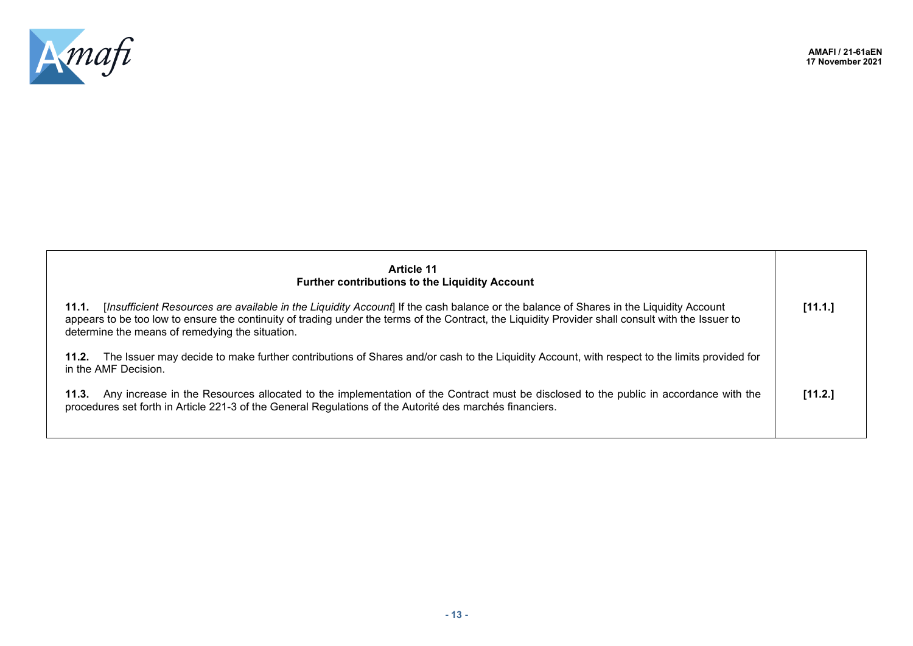

| <b>Article 11</b><br><b>Further contributions to the Liquidity Account</b>                                                                                                                                                                                                                                                                              |         |
|---------------------------------------------------------------------------------------------------------------------------------------------------------------------------------------------------------------------------------------------------------------------------------------------------------------------------------------------------------|---------|
| [Insufficient Resources are available in the Liquidity Account] If the cash balance or the balance of Shares in the Liquidity Account<br>11.1.<br>appears to be too low to ensure the continuity of trading under the terms of the Contract, the Liquidity Provider shall consult with the Issuer to<br>determine the means of remedying the situation. | [11.1.] |
| The Issuer may decide to make further contributions of Shares and/or cash to the Liquidity Account, with respect to the limits provided for<br>11.2.<br>in the AMF Decision.                                                                                                                                                                            |         |
| Any increase in the Resources allocated to the implementation of the Contract must be disclosed to the public in accordance with the<br>11.3.<br>procedures set forth in Article 221-3 of the General Regulations of the Autorité des marchés financiers.                                                                                               | [11.2.] |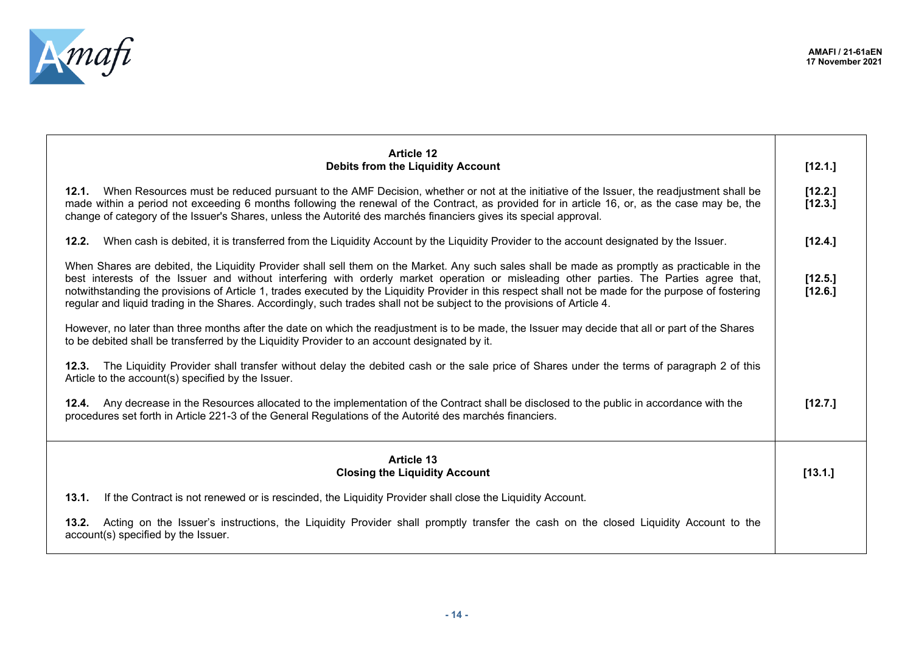

| <b>Article 12</b>                                                                                                                                                                                                                                                                                                                                                                                                                                                                                                                                                            |                    |
|------------------------------------------------------------------------------------------------------------------------------------------------------------------------------------------------------------------------------------------------------------------------------------------------------------------------------------------------------------------------------------------------------------------------------------------------------------------------------------------------------------------------------------------------------------------------------|--------------------|
| <b>Debits from the Liquidity Account</b>                                                                                                                                                                                                                                                                                                                                                                                                                                                                                                                                     | [12.1.]            |
| 12.1. When Resources must be reduced pursuant to the AMF Decision, whether or not at the initiative of the Issuer, the readjustment shall be<br>made within a period not exceeding 6 months following the renewal of the Contract, as provided for in article 16, or, as the case may be, the<br>change of category of the Issuer's Shares, unless the Autorité des marchés financiers gives its special approval.                                                                                                                                                           | [12.2.]<br>[12.3.] |
| 12.2.<br>When cash is debited, it is transferred from the Liquidity Account by the Liquidity Provider to the account designated by the Issuer.                                                                                                                                                                                                                                                                                                                                                                                                                               | [12.4.]            |
| When Shares are debited, the Liquidity Provider shall sell them on the Market. Any such sales shall be made as promptly as practicable in the<br>best interests of the Issuer and without interfering with orderly market operation or misleading other parties. The Parties agree that,<br>notwithstanding the provisions of Article 1, trades executed by the Liquidity Provider in this respect shall not be made for the purpose of fostering<br>regular and liquid trading in the Shares. Accordingly, such trades shall not be subject to the provisions of Article 4. | [12.5.]<br>[12.6.] |
| However, no later than three months after the date on which the readjustment is to be made, the Issuer may decide that all or part of the Shares<br>to be debited shall be transferred by the Liquidity Provider to an account designated by it.                                                                                                                                                                                                                                                                                                                             |                    |
| The Liquidity Provider shall transfer without delay the debited cash or the sale price of Shares under the terms of paragraph 2 of this<br>12.3.<br>Article to the account(s) specified by the Issuer.                                                                                                                                                                                                                                                                                                                                                                       |                    |
| 12.4. Any decrease in the Resources allocated to the implementation of the Contract shall be disclosed to the public in accordance with the<br>procedures set forth in Article 221-3 of the General Regulations of the Autorité des marchés financiers.                                                                                                                                                                                                                                                                                                                      | [12.7.]            |
| <b>Article 13</b><br><b>Closing the Liquidity Account</b>                                                                                                                                                                                                                                                                                                                                                                                                                                                                                                                    | [13.1.]            |
| 13.1.<br>If the Contract is not renewed or is rescinded, the Liquidity Provider shall close the Liquidity Account.                                                                                                                                                                                                                                                                                                                                                                                                                                                           |                    |
| Acting on the Issuer's instructions, the Liquidity Provider shall promptly transfer the cash on the closed Liquidity Account to the<br>13.2.<br>account(s) specified by the Issuer.                                                                                                                                                                                                                                                                                                                                                                                          |                    |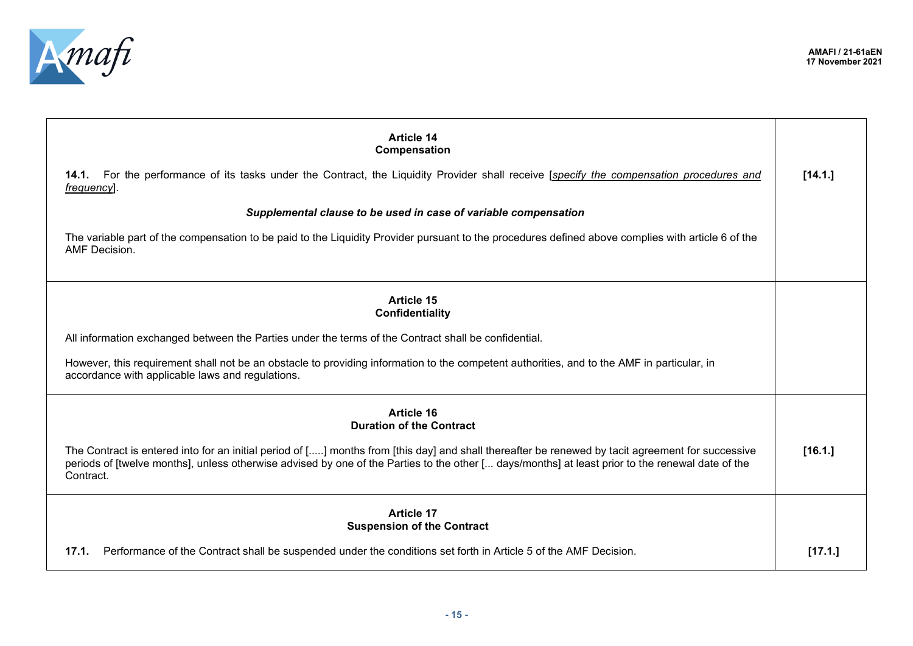

| <b>Article 14</b><br>Compensation                                                                                                                                                                                                                                                                                  |         |
|--------------------------------------------------------------------------------------------------------------------------------------------------------------------------------------------------------------------------------------------------------------------------------------------------------------------|---------|
| 14.1. For the performance of its tasks under the Contract, the Liquidity Provider shall receive [specify the compensation procedures and<br>frequency.                                                                                                                                                             | [14.1.] |
| Supplemental clause to be used in case of variable compensation                                                                                                                                                                                                                                                    |         |
| The variable part of the compensation to be paid to the Liquidity Provider pursuant to the procedures defined above complies with article 6 of the<br>AMF Decision.                                                                                                                                                |         |
| <b>Article 15</b><br>Confidentiality                                                                                                                                                                                                                                                                               |         |
| All information exchanged between the Parties under the terms of the Contract shall be confidential.                                                                                                                                                                                                               |         |
| However, this requirement shall not be an obstacle to providing information to the competent authorities, and to the AMF in particular, in<br>accordance with applicable laws and regulations.                                                                                                                     |         |
| Article 16<br><b>Duration of the Contract</b>                                                                                                                                                                                                                                                                      |         |
| The Contract is entered into for an initial period of [] months from [this day] and shall thereafter be renewed by tacit agreement for successive<br>periods of [twelve months], unless otherwise advised by one of the Parties to the other [ days/months] at least prior to the renewal date of the<br>Contract. | [16.1.] |
| <b>Article 17</b><br><b>Suspension of the Contract</b>                                                                                                                                                                                                                                                             |         |
| Performance of the Contract shall be suspended under the conditions set forth in Article 5 of the AMF Decision.<br>17.1.                                                                                                                                                                                           | [17.1.] |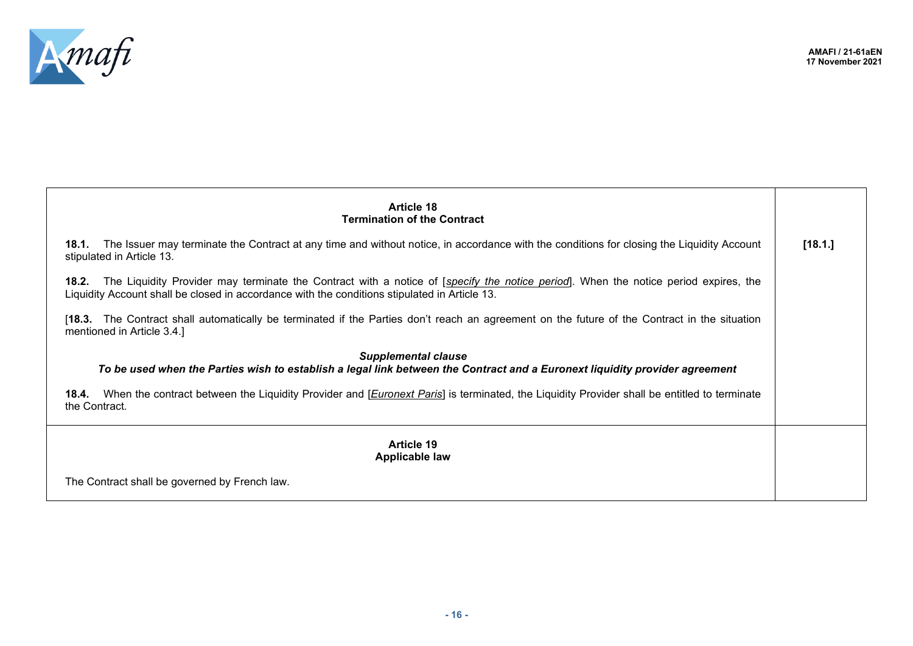

| <b>Article 18</b><br><b>Termination of the Contract</b>                                                                                                                                                                                    |         |
|--------------------------------------------------------------------------------------------------------------------------------------------------------------------------------------------------------------------------------------------|---------|
| The Issuer may terminate the Contract at any time and without notice, in accordance with the conditions for closing the Liquidity Account<br>18.1.<br>stipulated in Article 13.                                                            | [18.1.] |
| 18.2. The Liquidity Provider may terminate the Contract with a notice of [specify the notice period]. When the notice period expires, the<br>Liquidity Account shall be closed in accordance with the conditions stipulated in Article 13. |         |
| [18.3. The Contract shall automatically be terminated if the Parties don't reach an agreement on the future of the Contract in the situation<br>mentioned in Article 3.4.]                                                                 |         |
| <b>Supplemental clause</b><br>To be used when the Parties wish to establish a legal link between the Contract and a Euronext liquidity provider agreement                                                                                  |         |
| 18.4. When the contract between the Liquidity Provider and [ <i>Euronext Paris</i> ] is terminated, the Liquidity Provider shall be entitled to terminate<br>the Contract.                                                                 |         |
| <b>Article 19</b><br><b>Applicable law</b>                                                                                                                                                                                                 |         |
| The Contract shall be governed by French law.                                                                                                                                                                                              |         |